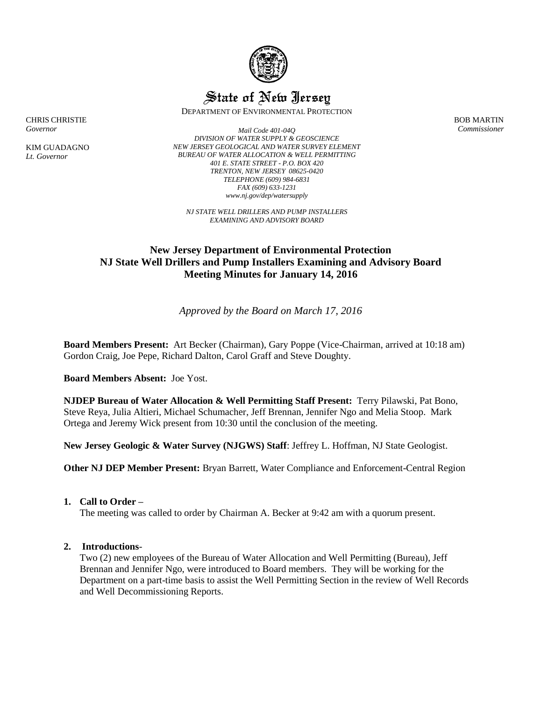

# State of New Jersey

DEPARTMENT OF ENVIRONMENTAL PROTECTION

CHRIS CHRISTIE *Governor*

KIM GUADAGNO *Lt. Governor*

*Mail Code 401-04Q DIVISION OF WATER SUPPLY & GEOSCIENCE NEW JERSEY GEOLOGICAL AND WATER SURVEY ELEMENT BUREAU OF WATER ALLOCATION & WELL PERMITTING 401 E. STATE STREET - P.O. BOX 420 TRENTON, NEW JERSEY 08625-0420 TELEPHONE (609) 984-6831 FAX (609) 633-1231 www.nj.gov/dep/watersupply*

*NJ STATE WELL DRILLERS AND PUMP INSTALLERS EXAMINING AND ADVISORY BOARD*

# **New Jersey Department of Environmental Protection NJ State Well Drillers and Pump Installers Examining and Advisory Board Meeting Minutes for January 14, 2016**

# *Approved by the Board on March 17, 2016*

**Board Members Present:** Art Becker (Chairman), Gary Poppe (Vice-Chairman, arrived at 10:18 am) Gordon Craig, Joe Pepe, Richard Dalton, Carol Graff and Steve Doughty.

**Board Members Absent:** Joe Yost.

**NJDEP Bureau of Water Allocation & Well Permitting Staff Present:** Terry Pilawski, Pat Bono, Steve Reya, Julia Altieri, Michael Schumacher, Jeff Brennan, Jennifer Ngo and Melia Stoop. Mark Ortega and Jeremy Wick present from 10:30 until the conclusion of the meeting.

**New Jersey Geologic & Water Survey (NJGWS) Staff**: Jeffrey L. Hoffman, NJ State Geologist.

**Other NJ DEP Member Present:** Bryan Barrett, Water Compliance and Enforcement-Central Region

# **1. Call to Order –**

The meeting was called to order by Chairman A. Becker at 9:42 am with a quorum present.

# **2. Introductions**-

Two (2) new employees of the Bureau of Water Allocation and Well Permitting (Bureau), Jeff Brennan and Jennifer Ngo, were introduced to Board members. They will be working for the Department on a part-time basis to assist the Well Permitting Section in the review of Well Records and Well Decommissioning Reports.

BOB MARTIN *Commissioner*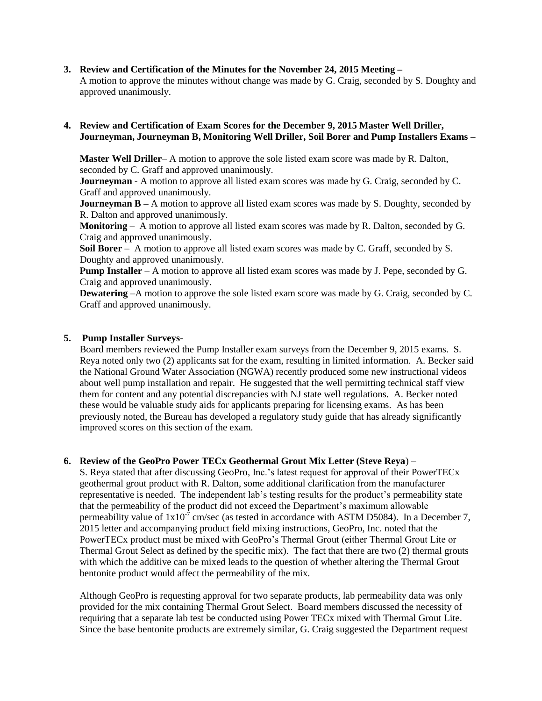#### **3. Review and Certification of the Minutes for the November 24, 2015 Meeting –**

A motion to approve the minutes without change was made by G. Craig, seconded by S. Doughty and approved unanimously.

#### **4. Review and Certification of Exam Scores for the December 9, 2015 Master Well Driller, Journeyman, Journeyman B, Monitoring Well Driller, Soil Borer and Pump Installers Exams –**

**Master Well Driller**– A motion to approve the sole listed exam score was made by R. Dalton, seconded by C. Graff and approved unanimously.

**Journeyman -** A motion to approve all listed exam scores was made by G. Craig, seconded by C. Graff and approved unanimously.

**Journeyman B** – A motion to approve all listed exam scores was made by S. Doughty, seconded by R. Dalton and approved unanimously.

**Monitoring** – A motion to approve all listed exam scores was made by R. Dalton, seconded by G. Craig and approved unanimously.

Soil Borer – A motion to approve all listed exam scores was made by C. Graff, seconded by S. Doughty and approved unanimously.

**Pump Installer** – A motion to approve all listed exam scores was made by J. Pepe, seconded by G. Craig and approved unanimously.

**Dewatering** –A motion to approve the sole listed exam score was made by G. Craig, seconded by C. Graff and approved unanimously.

#### **5. Pump Installer Surveys-**

Board members reviewed the Pump Installer exam surveys from the December 9, 2015 exams. S. Reya noted only two (2) applicants sat for the exam, resulting in limited information. A. Becker said the National Ground Water Association (NGWA) recently produced some new instructional videos about well pump installation and repair. He suggested that the well permitting technical staff view them for content and any potential discrepancies with NJ state well regulations. A. Becker noted these would be valuable study aids for applicants preparing for licensing exams. As has been previously noted, the Bureau has developed a regulatory study guide that has already significantly improved scores on this section of the exam.

#### **6. Review of the GeoPro Power TECx Geothermal Grout Mix Letter (Steve Reya**) –

S. Reya stated that after discussing GeoPro, Inc.'s latest request for approval of their PowerTECx geothermal grout product with R. Dalton, some additional clarification from the manufacturer representative is needed. The independent lab's testing results for the product's permeability state that the permeability of the product did not exceed the Department's maximum allowable permeability value of  $1x10^{-7}$  cm/sec (as tested in accordance with ASTM D5084). In a December 7, 2015 letter and accompanying product field mixing instructions, GeoPro, Inc. noted that the PowerTECx product must be mixed with GeoPro's Thermal Grout (either Thermal Grout Lite or Thermal Grout Select as defined by the specific mix). The fact that there are two (2) thermal grouts with which the additive can be mixed leads to the question of whether altering the Thermal Grout bentonite product would affect the permeability of the mix.

Although GeoPro is requesting approval for two separate products, lab permeability data was only provided for the mix containing Thermal Grout Select. Board members discussed the necessity of requiring that a separate lab test be conducted using Power TECx mixed with Thermal Grout Lite. Since the base bentonite products are extremely similar, G. Craig suggested the Department request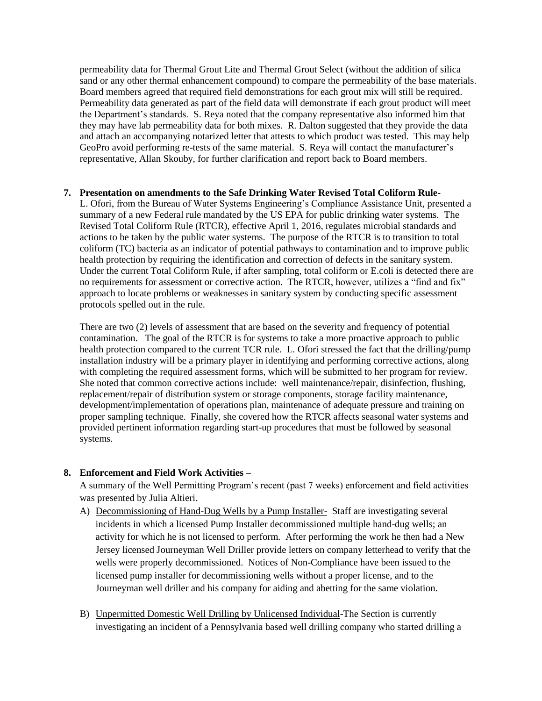permeability data for Thermal Grout Lite and Thermal Grout Select (without the addition of silica sand or any other thermal enhancement compound) to compare the permeability of the base materials. Board members agreed that required field demonstrations for each grout mix will still be required. Permeability data generated as part of the field data will demonstrate if each grout product will meet the Department's standards. S. Reya noted that the company representative also informed him that they may have lab permeability data for both mixes. R. Dalton suggested that they provide the data and attach an accompanying notarized letter that attests to which product was tested. This may help GeoPro avoid performing re-tests of the same material. S. Reya will contact the manufacturer's representative, Allan Skouby, for further clarification and report back to Board members.

#### **7. Presentation on amendments to the Safe Drinking Water Revised Total Coliform Rule-**

L. Ofori, from the Bureau of Water Systems Engineering's Compliance Assistance Unit, presented a summary of a new Federal rule mandated by the US EPA for public drinking water systems. The Revised Total Coliform Rule (RTCR), effective April 1, 2016, regulates microbial standards and actions to be taken by the public water systems. The purpose of the RTCR is to transition to total coliform (TC) bacteria as an indicator of potential pathways to contamination and to improve public health protection by requiring the identification and correction of defects in the sanitary system. Under the current Total Coliform Rule, if after sampling, total coliform or E.coli is detected there are no requirements for assessment or corrective action. The RTCR, however, utilizes a "find and fix" approach to locate problems or weaknesses in sanitary system by conducting specific assessment protocols spelled out in the rule.

There are two (2) levels of assessment that are based on the severity and frequency of potential contamination. The goal of the RTCR is for systems to take a more proactive approach to public health protection compared to the current TCR rule. L. Ofori stressed the fact that the drilling/pump installation industry will be a primary player in identifying and performing corrective actions, along with completing the required assessment forms, which will be submitted to her program for review. She noted that common corrective actions include: well maintenance/repair, disinfection, flushing, replacement/repair of distribution system or storage components, storage facility maintenance, development/implementation of operations plan, maintenance of adequate pressure and training on proper sampling technique. Finally, she covered how the RTCR affects seasonal water systems and provided pertinent information regarding start-up procedures that must be followed by seasonal systems.

# **8. Enforcement and Field Work Activities –**

A summary of the Well Permitting Program's recent (past 7 weeks) enforcement and field activities was presented by Julia Altieri.

- A) Decommissioning of Hand-Dug Wells by a Pump Installer- Staff are investigating several incidents in which a licensed Pump Installer decommissioned multiple hand-dug wells; an activity for which he is not licensed to perform. After performing the work he then had a New Jersey licensed Journeyman Well Driller provide letters on company letterhead to verify that the wells were properly decommissioned. Notices of Non-Compliance have been issued to the licensed pump installer for decommissioning wells without a proper license, and to the Journeyman well driller and his company for aiding and abetting for the same violation.
- B) Unpermitted Domestic Well Drilling by Unlicensed Individual-The Section is currently investigating an incident of a Pennsylvania based well drilling company who started drilling a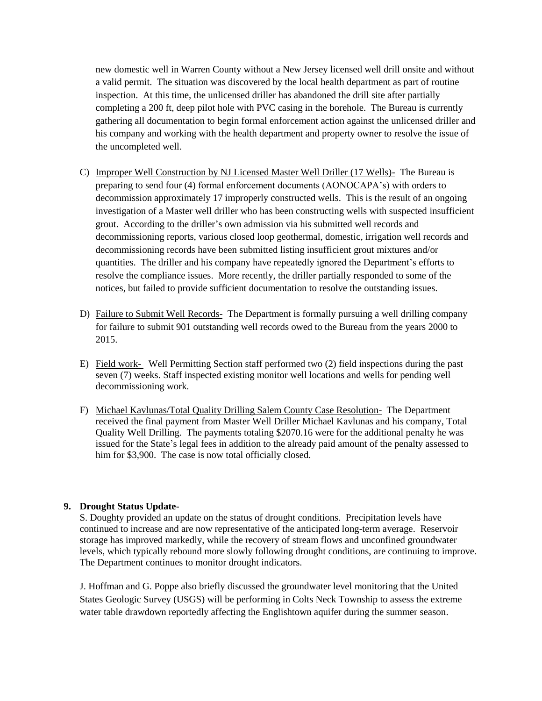new domestic well in Warren County without a New Jersey licensed well drill onsite and without a valid permit. The situation was discovered by the local health department as part of routine inspection. At this time, the unlicensed driller has abandoned the drill site after partially completing a 200 ft, deep pilot hole with PVC casing in the borehole. The Bureau is currently gathering all documentation to begin formal enforcement action against the unlicensed driller and his company and working with the health department and property owner to resolve the issue of the uncompleted well.

- C) Improper Well Construction by NJ Licensed Master Well Driller (17 Wells)- The Bureau is preparing to send four (4) formal enforcement documents (AONOCAPA's) with orders to decommission approximately 17 improperly constructed wells. This is the result of an ongoing investigation of a Master well driller who has been constructing wells with suspected insufficient grout. According to the driller's own admission via his submitted well records and decommissioning reports, various closed loop geothermal, domestic, irrigation well records and decommissioning records have been submitted listing insufficient grout mixtures and/or quantities. The driller and his company have repeatedly ignored the Department's efforts to resolve the compliance issues. More recently, the driller partially responded to some of the notices, but failed to provide sufficient documentation to resolve the outstanding issues.
- D) Failure to Submit Well Records- The Department is formally pursuing a well drilling company for failure to submit 901 outstanding well records owed to the Bureau from the years 2000 to 2015.
- E) Field work- Well Permitting Section staff performed two (2) field inspections during the past seven (7) weeks. Staff inspected existing monitor well locations and wells for pending well decommissioning work.
- F) Michael Kavlunas/Total Quality Drilling Salem County Case Resolution- The Department received the final payment from Master Well Driller Michael Kavlunas and his company, Total Quality Well Drilling. The payments totaling \$2070.16 were for the additional penalty he was issued for the State's legal fees in addition to the already paid amount of the penalty assessed to him for \$3,900. The case is now total officially closed.

# **9. Drought Status Update**-

S. Doughty provided an update on the status of drought conditions. Precipitation levels have continued to increase and are now representative of the anticipated long-term average. Reservoir storage has improved markedly, while the recovery of stream flows and unconfined groundwater levels, which typically rebound more slowly following drought conditions, are continuing to improve. The Department continues to monitor drought indicators.

J. Hoffman and G. Poppe also briefly discussed the groundwater level monitoring that the United States Geologic Survey (USGS) will be performing in Colts Neck Township to assess the extreme water table drawdown reportedly affecting the Englishtown aquifer during the summer season.